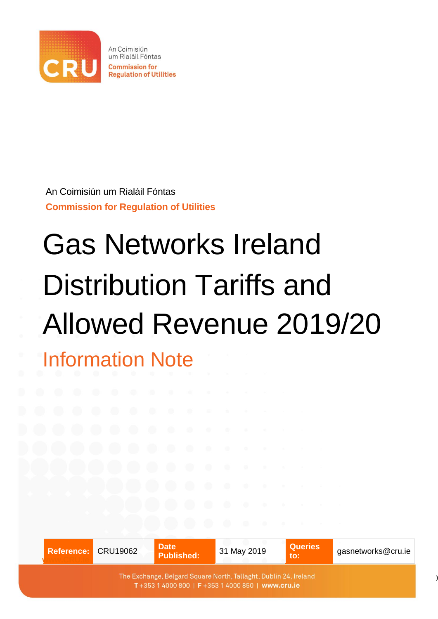

An Coimisiún um Rialáil Fóntas **Commission for Regulation of Utilities** 

An Coimisiún um Rialáil Fóntas **Commission for Regulation of Utilities**

# Gas Networks Ireland Distribution Tariffs and Allowed Revenue 2019/20

Information Note

Reference: CRU19062 **Date Date Published: Published:** 31 May 2019 **Queries**  gasnetworks@cru.ie **to: www.CRU.ie**The Exchange, Belgard Square North, Tallaght, Dublin 24, Ireland T+353 1 4000 800 | F+353 1 4000 850 | www.cru.ie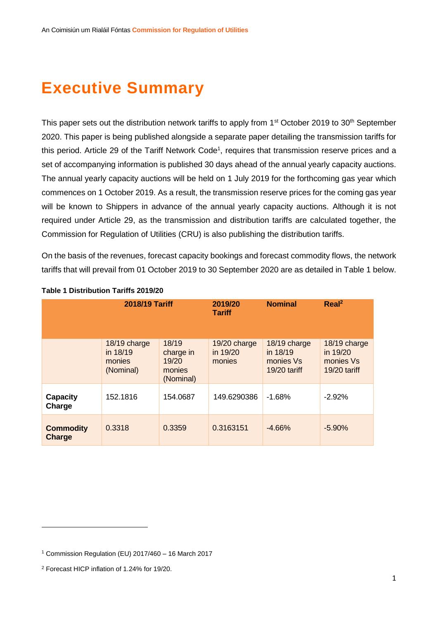## **Executive Summary**

This paper sets out the distribution network tariffs to apply from 1<sup>st</sup> October 2019 to 30<sup>th</sup> September 2020. This paper is being published alongside a separate paper detailing the transmission tariffs for this period. Article 29 of the Tariff Network Code<sup>1</sup>, requires that transmission reserve prices and a set of accompanying information is published 30 days ahead of the annual yearly capacity auctions. The annual yearly capacity auctions will be held on 1 July 2019 for the forthcoming gas year which commences on 1 October 2019. As a result, the transmission reserve prices for the coming gas year will be known to Shippers in advance of the annual yearly capacity auctions. Although it is not required under Article 29, as the transmission and distribution tariffs are calculated together, the Commission for Regulation of Utilities (CRU) is also publishing the distribution tariffs.

On the basis of the revenues, forecast capacity bookings and forecast commodity flows, the network tariffs that will prevail from 01 October 2019 to 30 September 2020 are as detailed in Table 1 below.

|                                   | <b>2018/19 Tariff</b>                           |                                                    | 2019/20<br><b>Tariff</b>           | <b>Nominal</b>                                          | Real <sup>2</sup>                                       |
|-----------------------------------|-------------------------------------------------|----------------------------------------------------|------------------------------------|---------------------------------------------------------|---------------------------------------------------------|
|                                   | 18/19 charge<br>in 18/19<br>monies<br>(Nominal) | 18/19<br>charge in<br>19/20<br>monies<br>(Nominal) | 19/20 charge<br>in 19/20<br>monies | 18/19 charge<br>in 18/19<br>monies Vs<br>$19/20$ tariff | 18/19 charge<br>in 19/20<br>monies Vs<br>$19/20$ tariff |
| Capacity<br>Charge                | 152.1816                                        | 154.0687                                           | 149.6290386                        | $-1.68%$                                                | $-2.92\%$                                               |
| <b>Commodity</b><br><b>Charge</b> | 0.3318                                          | 0.3359                                             | 0.3163151                          | $-4.66%$                                                | $-5.90%$                                                |

#### **Table 1 Distribution Tariffs 2019/20**

<sup>1</sup> Commission Regulation (EU) 2017/460 – 16 March 2017

<sup>2</sup> Forecast HICP inflation of 1.24% for 19/20.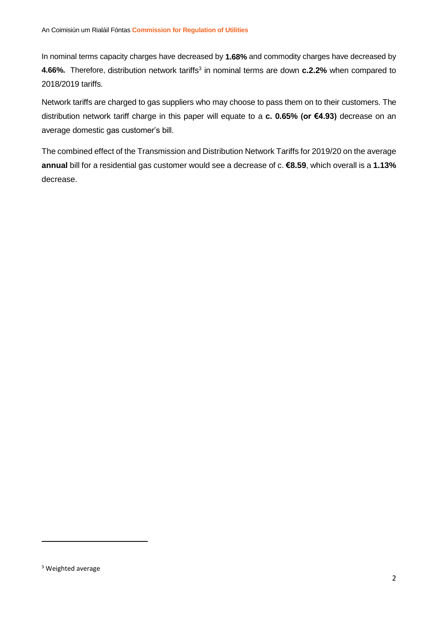In nominal terms capacity charges have decreased by **1.68%** and commodity charges have decreased by **4.66%.** Therefore, distribution network tariffs<sup>3</sup> in nominal terms are down **c.2.2%** when compared to 2018/2019 tariffs.

Network tariffs are charged to gas suppliers who may choose to pass them on to their customers. The distribution network tariff charge in this paper will equate to a **c. 0.65% (or €4.93)** decrease on an average domestic gas customer's bill.

The combined effect of the Transmission and Distribution Network Tariffs for 2019/20 on the average **annual** bill for a residential gas customer would see a decrease of c. **€8.59**, which overall is a **1.13%** decrease.

<sup>&</sup>lt;sup>3</sup> Weighted average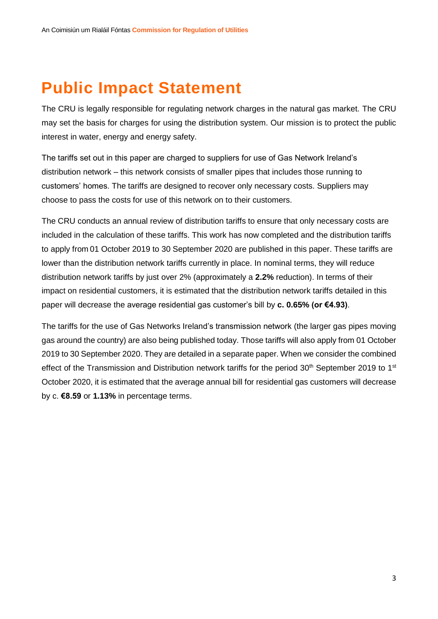# **Public Impact Statement**

The CRU is legally responsible for regulating network charges in the natural gas market. The CRU may set the basis for charges for using the distribution system. Our mission is to protect the public interest in water, energy and energy safety.

The tariffs set out in this paper are charged to suppliers for use of Gas Network Ireland's distribution network – this network consists of smaller pipes that includes those running to customers' homes. The tariffs are designed to recover only necessary costs. Suppliers may choose to pass the costs for use of this network on to their customers.

The CRU conducts an annual review of distribution tariffs to ensure that only necessary costs are included in the calculation of these tariffs. This work has now completed and the distribution tariffs to apply from 01 October 2019 to 30 September 2020 are published in this paper. These tariffs are lower than the distribution network tariffs currently in place. In nominal terms, they will reduce distribution network tariffs by just over 2% (approximately a **2.2%** reduction). In terms of their impact on residential customers, it is estimated that the distribution network tariffs detailed in this paper will decrease the average residential gas customer's bill by **c. 0.65% (or €4.93)**.

The tariffs for the use of Gas Networks Ireland's transmission network (the larger gas pipes moving gas around the country) are also being published today. Those tariffs will also apply from 01 October 2019 to 30 September 2020. They are detailed in a separate paper. When we consider the combined effect of the Transmission and Distribution network tariffs for the period  $30<sup>th</sup>$  September 2019 to 1<sup>st</sup> October 2020, it is estimated that the average annual bill for residential gas customers will decrease by c. **€8.59** or **1.13%** in percentage terms.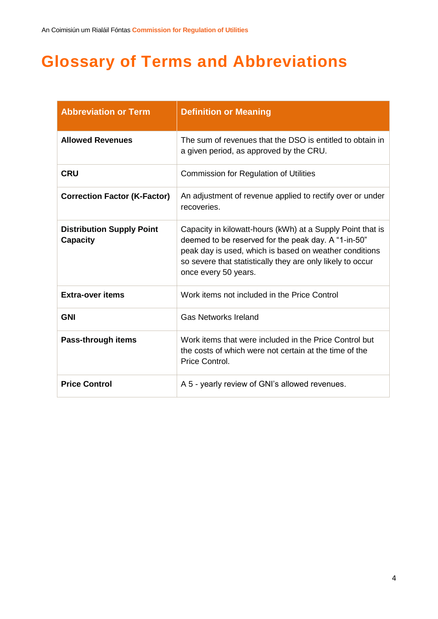# **Glossary of Terms and Abbreviations**

| <b>Abbreviation or Term</b>                         | <b>Definition or Meaning</b>                                                                                                                                                                                                                                      |  |  |
|-----------------------------------------------------|-------------------------------------------------------------------------------------------------------------------------------------------------------------------------------------------------------------------------------------------------------------------|--|--|
| <b>Allowed Revenues</b>                             | The sum of revenues that the DSO is entitled to obtain in<br>a given period, as approved by the CRU.                                                                                                                                                              |  |  |
| <b>CRU</b>                                          | <b>Commission for Regulation of Utilities</b>                                                                                                                                                                                                                     |  |  |
| <b>Correction Factor (K-Factor)</b>                 | An adjustment of revenue applied to rectify over or under<br>recoveries.                                                                                                                                                                                          |  |  |
| <b>Distribution Supply Point</b><br><b>Capacity</b> | Capacity in kilowatt-hours (kWh) at a Supply Point that is<br>deemed to be reserved for the peak day. A "1-in-50"<br>peak day is used, which is based on weather conditions<br>so severe that statistically they are only likely to occur<br>once every 50 years. |  |  |
| <b>Extra-over items</b>                             | Work items not included in the Price Control                                                                                                                                                                                                                      |  |  |
| <b>GNI</b>                                          | <b>Gas Networks Ireland</b>                                                                                                                                                                                                                                       |  |  |
| Pass-through items                                  | Work items that were included in the Price Control but<br>the costs of which were not certain at the time of the<br>Price Control.                                                                                                                                |  |  |
| <b>Price Control</b>                                | A 5 - yearly review of GNI's allowed revenues.                                                                                                                                                                                                                    |  |  |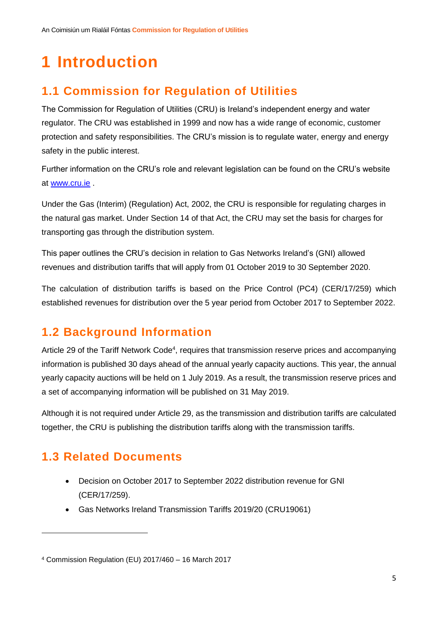# **1 Introduction**

## **1.1 Commission for Regulation of Utilities**

The Commission for Regulation of Utilities (CRU) is Ireland's independent energy and water regulator. The CRU was established in 1999 and now has a wide range of economic, customer protection and safety responsibilities. The CRU's mission is to regulate water, energy and energy safety in the public interest.

Further information on the CRU's role and relevant legislation can be found on the CRU's website at [www.cru.ie](http://www.cru.ie/) .

Under the Gas (Interim) (Regulation) Act, 2002, the CRU is responsible for regulating charges in the natural gas market. Under Section 14 of that Act, the CRU may set the basis for charges for transporting gas through the distribution system.

This paper outlines the CRU's decision in relation to Gas Networks Ireland's (GNI) allowed revenues and distribution tariffs that will apply from 01 October 2019 to 30 September 2020.

The calculation of distribution tariffs is based on the Price Control (PC4) (CER/17/259) which established revenues for distribution over the 5 year period from October 2017 to September 2022.

### **1.2 Background Information**

Article 29 of the Tariff Network Code<sup>4</sup>, requires that transmission reserve prices and accompanying information is published 30 days ahead of the annual yearly capacity auctions. This year, the annual yearly capacity auctions will be held on 1 July 2019. As a result, the transmission reserve prices and a set of accompanying information will be published on 31 May 2019.

Although it is not required under Article 29, as the transmission and distribution tariffs are calculated together, the CRU is publishing the distribution tariffs along with the transmission tariffs.

## **1.3 Related Documents**

 $\overline{a}$ 

- Decision on October 2017 to September 2022 distribution revenue for GNI (CER/17/259).
- Gas Networks Ireland Transmission Tariffs 2019/20 (CRU19061)

<sup>4</sup> Commission Regulation (EU) 2017/460 – 16 March 2017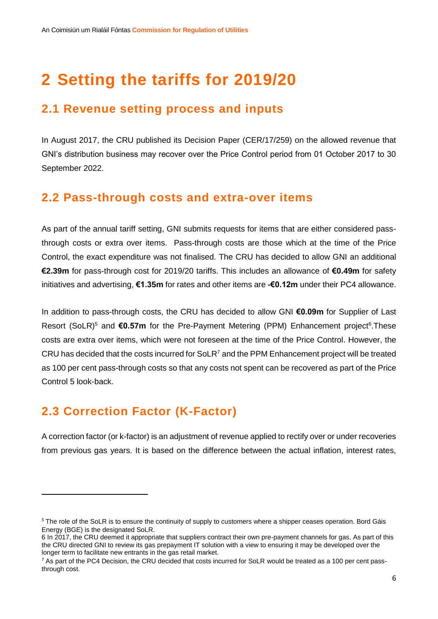# **2 Setting the tariffs for 2019/20**

#### **2.1 Revenue setting process and inputs**

In August 2017, the CRU published its Decision Paper (CER/17/259) on the allowed revenue that GNI's distribution business may recover over the Price Control period from 01 October 2017 to 30 September 2022.

#### **2.2 Pass-through costs and extra-over items**

As part of the annual tariff setting, GNI submits requests for items that are either considered passthrough costs or extra over items. Pass-through costs are those which at the time of the Price Control, the exact expenditure was not finalised. The CRU has decided to allow GNI an additional **€2.39m** for pass-through cost for 2019/20 tariffs. This includes an allowance of **€0.49m** for safety initiatives and advertising, **€1.35m** for rates and other items are **-€0.12m** under their PC4 allowance.

In addition to pass-through costs, the CRU has decided to allow GNI **€0.09m** for Supplier of Last Resort (SoLR)<sup>5</sup> and €0.57m for the Pre-Payment Metering (PPM) Enhancement project<sup>6</sup>.These costs are extra over items, which were not foreseen at the time of the Price Control. However, the CRU has decided that the costs incurred for  $SolR<sup>7</sup>$  and the PPM Enhancement project will be treated as 100 per cent pass-through costs so that any costs not spent can be recovered as part of the Price Control 5 look-back.

#### **2.3 Correction Factor (K-Factor)**

 $\overline{a}$ 

A correction factor (or k-factor) is an adjustment of revenue applied to rectify over or under recoveries from previous gas years. It is based on the difference between the actual inflation, interest rates,

<sup>&</sup>lt;sup>5</sup> The role of the SoLR is to ensure the continuity of supply to customers where a shipper ceases operation. Bord Gáis Energy (BGE) is the designated SoLR.

<sup>6</sup> In 2017, the CRU deemed it appropriate that suppliers contract their own pre-payment channels for gas. As part of this the CRU directed GNI to review its gas prepayment IT solution with a view to ensuring it may be developed over the longer term to facilitate new entrants in the gas retail market.

 $7$  As part of the PC4 Decision, the CRU decided that costs incurred for SoLR would be treated as a 100 per cent passthrough cost.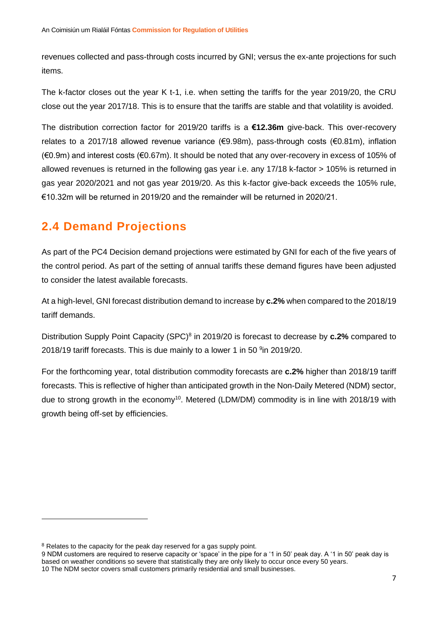revenues collected and pass-through costs incurred by GNI; versus the ex-ante projections for such items.

The k-factor closes out the year K t-1, i.e. when setting the tariffs for the year 2019/20, the CRU close out the year 2017/18. This is to ensure that the tariffs are stable and that volatility is avoided.

The distribution correction factor for 2019/20 tariffs is a **€12.36m** give-back. This over-recovery relates to a 2017/18 allowed revenue variance (€9.98m), pass-through costs (€0.81m), inflation (€0.9m) and interest costs (€0.67m). It should be noted that any over-recovery in excess of 105% of allowed revenues is returned in the following gas year i.e. any 17/18 k-factor > 105% is returned in gas year 2020/2021 and not gas year 2019/20. As this k-factor give-back exceeds the 105% rule, €10.32m will be returned in 2019/20 and the remainder will be returned in 2020/21.

#### **2.4 Demand Projections**

As part of the PC4 Decision demand projections were estimated by GNI for each of the five years of the control period. As part of the setting of annual tariffs these demand figures have been adjusted to consider the latest available forecasts.

At a high-level, GNI forecast distribution demand to increase by **c.2%** when compared to the 2018/19 tariff demands.

Distribution Supply Point Capacity (SPC)<sup>8</sup> in 2019/20 is forecast to decrease by **c.2%** compared to 2018/19 tariff forecasts. This is due mainly to a lower 1 in 50<sup>9</sup>in 2019/20.

For the forthcoming year, total distribution commodity forecasts are **c.2%** higher than 2018/19 tariff forecasts. This is reflective of higher than anticipated growth in the Non-Daily Metered (NDM) sector, due to strong growth in the economy<sup>10</sup>. Metered (LDM/DM) commodity is in line with 2018/19 with growth being off-set by efficiencies.

<sup>&</sup>lt;sup>8</sup> Relates to the capacity for the peak day reserved for a gas supply point.

<sup>9</sup> NDM customers are required to reserve capacity or 'space' in the pipe for a '1 in 50' peak day. A '1 in 50' peak day is based on weather conditions so severe that statistically they are only likely to occur once every 50 years. 10 The NDM sector covers small customers primarily residential and small businesses.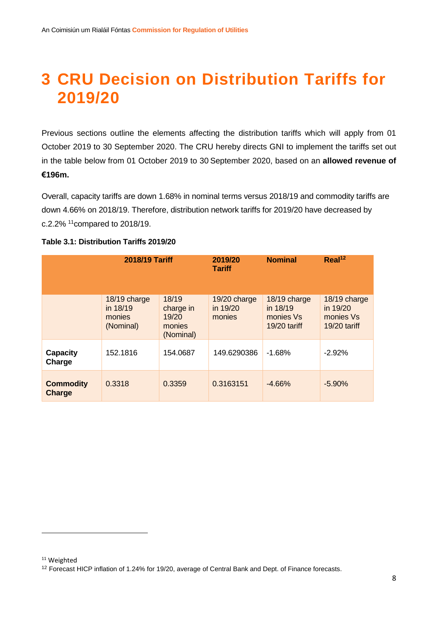## **3 CRU Decision on Distribution Tariffs for 2019/20**

Previous sections outline the elements affecting the distribution tariffs which will apply from 01 October 2019 to 30 September 2020. The CRU hereby directs GNI to implement the tariffs set out in the table below from 01 October 2019 to 30 September 2020, based on an **allowed revenue of €196m.**

Overall, capacity tariffs are down 1.68% in nominal terms versus 2018/19 and commodity tariffs are down 4.66% on 2018/19. Therefore, distribution network tariffs for 2019/20 have decreased by c.2.2% <sup>11</sup>compared to 2018/19.

|                                   | <b>2018/19 Tariff</b>                           |                                                    | 2019/20<br><b>Tariff</b>           | <b>Nominal</b>                                        | Real <sup>12</sup>                                    |
|-----------------------------------|-------------------------------------------------|----------------------------------------------------|------------------------------------|-------------------------------------------------------|-------------------------------------------------------|
|                                   | 18/19 charge<br>in 18/19<br>monies<br>(Nominal) | 18/19<br>charge in<br>19/20<br>monies<br>(Nominal) | 19/20 charge<br>in 19/20<br>monies | 18/19 charge<br>in 18/19<br>monies Vs<br>19/20 tariff | 18/19 charge<br>in 19/20<br>monies Vs<br>19/20 tariff |
| <b>Capacity</b><br>Charge         | 152.1816                                        | 154.0687                                           | 149.6290386                        | $-1.68%$                                              | $-2.92%$                                              |
| <b>Commodity</b><br><b>Charge</b> | 0.3318                                          | 0.3359                                             | 0.3163151                          | $-4.66%$                                              | $-5.90%$                                              |

#### **Table 3.1: Distribution Tariffs 2019/20**

 $\overline{a}$ 

<sup>&</sup>lt;sup>11</sup> Weighted

<sup>&</sup>lt;sup>12</sup> Forecast HICP inflation of 1.24% for 19/20, average of Central Bank and Dept. of Finance forecasts.